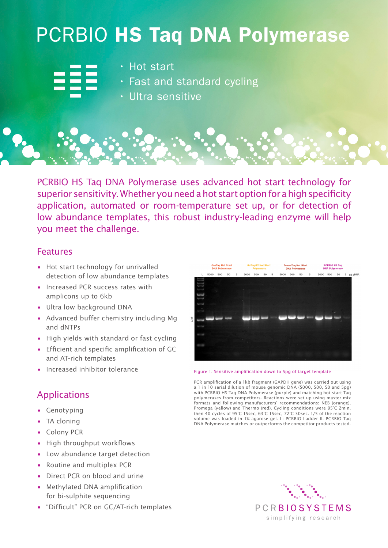## PCRBIO HS Taq DNA Polymerase

- 
- Hot start
- Fast and standard cycling
- Ultra sensitive

PCRBIO HS Taq DNA Polymerase uses advanced hot start technology for superior sensitivity. Whether you need a hot start option for a high specificity application, automated or room-temperature set up, or for detection of low abundance templates, this robust industry-leading enzyme will help you meet the challenge.

## Features

- Hot start technology for unrivalled detection of low abundance templates
- Increased PCR success rates with amplicons up to 6kb
- Ultra low background DNA
- Advanced buffer chemistry including Mg and dNTPs
- High yields with standard or fast cycling
- Efficient and specific amplification of GC and AT-rich templates
- Increased inhibitor tolerance

## Applications

- Genotyping
- TA cloning
- Colony PCR
- High throughput workflows
- Low abundance target detection
- Routine and multiplex PCR
- Direct PCR on blood and urine
- Methylated DNA amplification for bi-sulphite sequencing
- "Difficult" PCR on GC/AT-rich templates

|                     |   | <b>GUTAY OF HUL STAIL</b><br><b>Polymerase</b> |     |    |   | Diedillidy not oldri<br><b>DNA Polymerase</b> |     |    |   | <b>LOUDIO US IGN</b><br><b>DNA Polymerase</b> |     |    |   |      |     |    |           |
|---------------------|---|------------------------------------------------|-----|----|---|-----------------------------------------------|-----|----|---|-----------------------------------------------|-----|----|---|------|-----|----|-----------|
|                     | L | 5000                                           | 500 | 50 | 5 | 5000                                          | 500 | 50 | 5 | 5000                                          | 500 | 50 | 5 | 5000 | 500 | 50 | 5 pg gDN. |
|                     |   |                                                |     |    |   |                                               |     |    |   |                                               |     |    |   |      |     |    |           |
|                     |   |                                                |     |    |   |                                               |     |    |   |                                               |     |    |   |      |     |    |           |
|                     |   |                                                |     |    |   |                                               |     |    |   |                                               |     |    |   |      |     |    |           |
| £<br>$\overline{H}$ |   |                                                |     |    |   |                                               |     |    |   |                                               |     |    |   |      |     |    |           |
|                     |   |                                                |     |    |   | <b>STAR</b>                                   |     |    |   |                                               |     |    |   |      |     |    |           |
|                     |   |                                                |     |    |   |                                               |     |    |   |                                               |     |    |   |      |     |    |           |
|                     |   |                                                |     |    |   |                                               |     |    |   |                                               |     |    |   |      |     |    |           |

Figure 1. Sensitive amplification down to 5pg of target template

PCR amplification of a 1kb fragment (GAPDH gene) was carried out using a 1 in 10 serial dilution of mouse genomic DNA (5000, 500, 50 and 5pg) with PCRBIO HS Taq DNA Polymerase (purple) and matching hot start Taq polymerases from competitors. Reactions were set up using master mix formats and following manufacturers' recommendations: NEB (orange), Promega (yellow) and Thermo (red). Cycling conditions were 95°C 2min, then 40 cycles of 95°C 15sec, 63°C 15sec, 72°C 30sec. 1/5 of the reaction volume was loaded in 1% agarose gel. L: PCRBIO Ladder II. PCRBIO Taq DNA Polymerase matches or outperforms the competitor products tested.